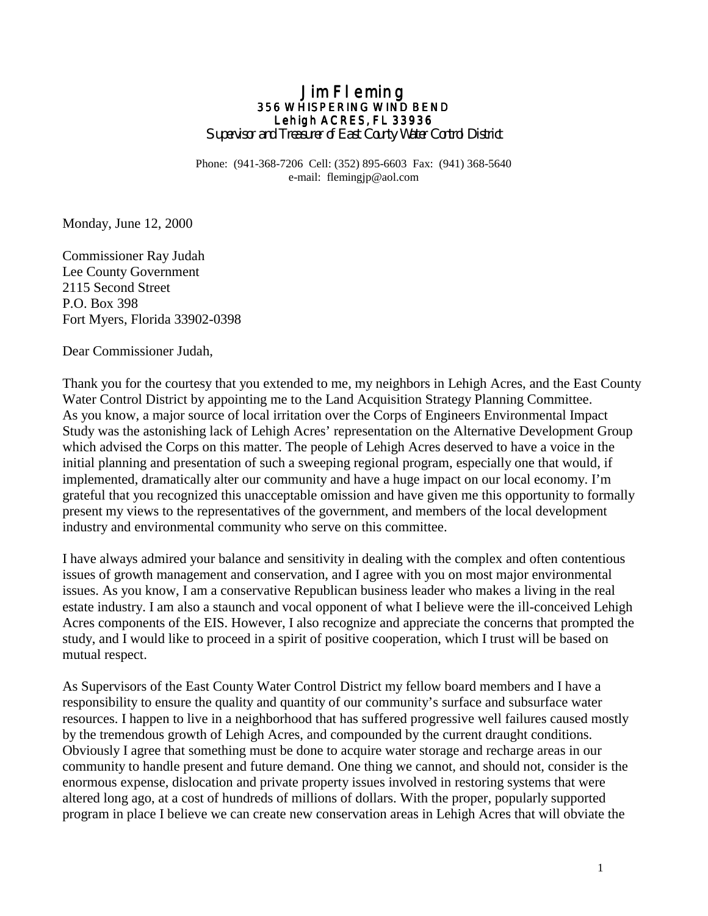# **Jim Fleming 356 WHISPERING WIND BEND 356 WHISPERING WIND BEND 356**  Lehigh ACRES, FL 33936

*Supervisor and Treasurer of East County Water Control District* 

Phone: (941-368-7206 Cell: (352) 895-6603 Fax: (941) 368-5640 e-mail: flemingjp@aol.com

Monday, June 12, 2000

Commissioner Ray Judah Lee County Government 2115 Second Street P.O. Box 398 Fort Myers, Florida 33902-0398

Dear Commissioner Judah,

Thank you for the courtesy that you extended to me, my neighbors in Lehigh Acres, and the East County Water Control District by appointing me to the Land Acquisition Strategy Planning Committee. As you know, a major source of local irritation over the Corps of Engineers Environmental Impact Study was the astonishing lack of Lehigh Acres' representation on the Alternative Development Group which advised the Corps on this matter. The people of Lehigh Acres deserved to have a voice in the initial planning and presentation of such a sweeping regional program, especially one that would, if implemented, dramatically alter our community and have a huge impact on our local economy. I'm grateful that you recognized this unacceptable omission and have given me this opportunity to formally present my views to the representatives of the government, and members of the local development industry and environmental community who serve on this committee.

I have always admired your balance and sensitivity in dealing with the complex and often contentious issues of growth management and conservation, and I agree with you on most major environmental issues. As you know, I am a conservative Republican business leader who makes a living in the real estate industry. I am also a staunch and vocal opponent of what I believe were the ill-conceived Lehigh Acres components of the EIS. However, I also recognize and appreciate the concerns that prompted the study, and I would like to proceed in a spirit of positive cooperation, which I trust will be based on mutual respect.

As Supervisors of the East County Water Control District my fellow board members and I have a responsibility to ensure the quality and quantity of our community's surface and subsurface water resources. I happen to live in a neighborhood that has suffered progressive well failures caused mostly by the tremendous growth of Lehigh Acres, and compounded by the current draught conditions. Obviously I agree that something must be done to acquire water storage and recharge areas in our community to handle present and future demand. One thing we cannot, and should not, consider is the enormous expense, dislocation and private property issues involved in restoring systems that were altered long ago, at a cost of hundreds of millions of dollars. With the proper, popularly supported program in place I believe we can create new conservation areas in Lehigh Acres that will obviate the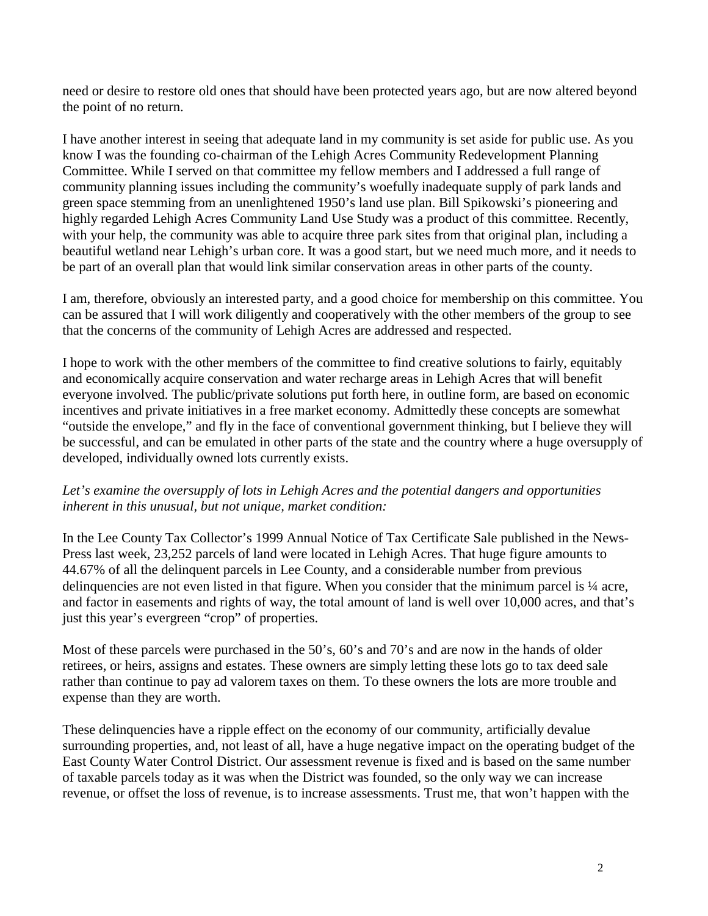need or desire to restore old ones that should have been protected years ago, but are now altered beyond the point of no return.

I have another interest in seeing that adequate land in my community is set aside for public use. As you know I was the founding co-chairman of the Lehigh Acres Community Redevelopment Planning Committee. While I served on that committee my fellow members and I addressed a full range of community planning issues including the community's woefully inadequate supply of park lands and green space stemming from an unenlightened 1950's land use plan. Bill Spikowski's pioneering and highly regarded Lehigh Acres Community Land Use Study was a product of this committee. Recently, with your help, the community was able to acquire three park sites from that original plan, including a beautiful wetland near Lehigh's urban core. It was a good start, but we need much more, and it needs to be part of an overall plan that would link similar conservation areas in other parts of the county.

I am, therefore, obviously an interested party, and a good choice for membership on this committee. You can be assured that I will work diligently and cooperatively with the other members of the group to see that the concerns of the community of Lehigh Acres are addressed and respected.

I hope to work with the other members of the committee to find creative solutions to fairly, equitably and economically acquire conservation and water recharge areas in Lehigh Acres that will benefit everyone involved. The public/private solutions put forth here, in outline form, are based on economic incentives and private initiatives in a free market economy. Admittedly these concepts are somewhat "outside the envelope," and fly in the face of conventional government thinking, but I believe they will be successful, and can be emulated in other parts of the state and the country where a huge oversupply of developed, individually owned lots currently exists.

## *Let's examine the oversupply of lots in Lehigh Acres and the potential dangers and opportunities inherent in this unusual, but not unique, market condition:*

In the Lee County Tax Collector's 1999 Annual Notice of Tax Certificate Sale published in the News-Press last week, 23,252 parcels of land were located in Lehigh Acres. That huge figure amounts to 44.67% of all the delinquent parcels in Lee County, and a considerable number from previous delinquencies are not even listed in that figure. When you consider that the minimum parcel is  $\frac{1}{4}$  acre, and factor in easements and rights of way, the total amount of land is well over 10,000 acres, and that's just this year's evergreen "crop" of properties.

Most of these parcels were purchased in the 50's, 60's and 70's and are now in the hands of older retirees, or heirs, assigns and estates. These owners are simply letting these lots go to tax deed sale rather than continue to pay ad valorem taxes on them. To these owners the lots are more trouble and expense than they are worth.

These delinquencies have a ripple effect on the economy of our community, artificially devalue surrounding properties, and, not least of all, have a huge negative impact on the operating budget of the East County Water Control District. Our assessment revenue is fixed and is based on the same number of taxable parcels today as it was when the District was founded, so the only way we can increase revenue, or offset the loss of revenue, is to increase assessments. Trust me, that won't happen with the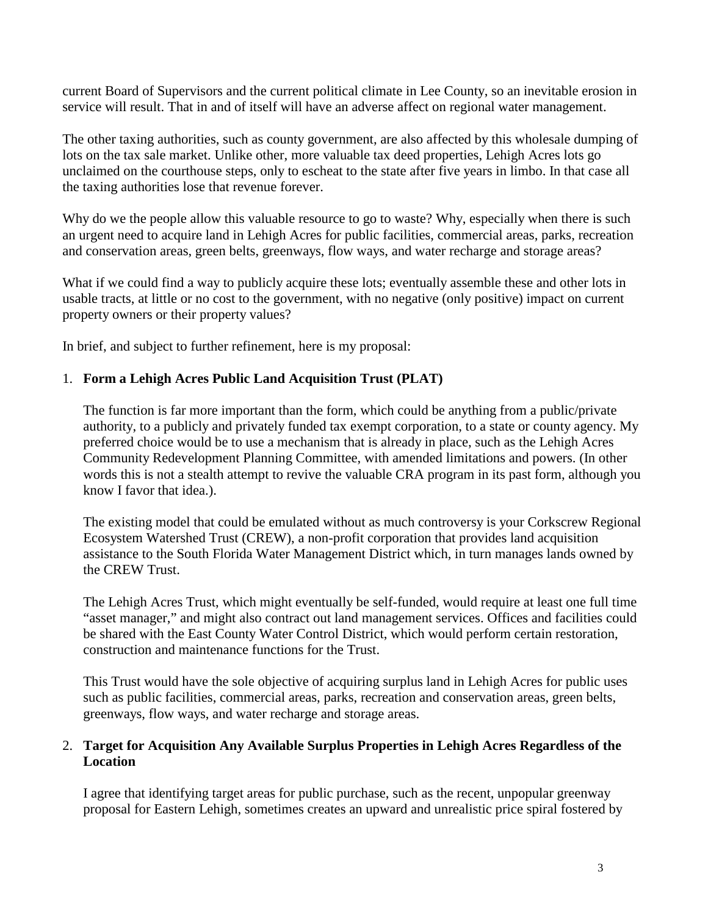current Board of Supervisors and the current political climate in Lee County, so an inevitable erosion in service will result. That in and of itself will have an adverse affect on regional water management.

The other taxing authorities, such as county government, are also affected by this wholesale dumping of lots on the tax sale market. Unlike other, more valuable tax deed properties, Lehigh Acres lots go unclaimed on the courthouse steps, only to escheat to the state after five years in limbo. In that case all the taxing authorities lose that revenue forever.

Why do we the people allow this valuable resource to go to waste? Why, especially when there is such an urgent need to acquire land in Lehigh Acres for public facilities, commercial areas, parks, recreation and conservation areas, green belts, greenways, flow ways, and water recharge and storage areas?

What if we could find a way to publicly acquire these lots; eventually assemble these and other lots in usable tracts, at little or no cost to the government, with no negative (only positive) impact on current property owners or their property values?

In brief, and subject to further refinement, here is my proposal:

## 1. **Form a Lehigh Acres Public Land Acquisition Trust (PLAT)**

The function is far more important than the form, which could be anything from a public/private authority, to a publicly and privately funded tax exempt corporation, to a state or county agency. My preferred choice would be to use a mechanism that is already in place, such as the Lehigh Acres Community Redevelopment Planning Committee, with amended limitations and powers. (In other words this is not a stealth attempt to revive the valuable CRA program in its past form, although you know I favor that idea.).

The existing model that could be emulated without as much controversy is your Corkscrew Regional Ecosystem Watershed Trust (CREW), a non-profit corporation that provides land acquisition assistance to the South Florida Water Management District which, in turn manages lands owned by the CREW Trust.

The Lehigh Acres Trust, which might eventually be self-funded, would require at least one full time "asset manager," and might also contract out land management services. Offices and facilities could be shared with the East County Water Control District, which would perform certain restoration, construction and maintenance functions for the Trust.

This Trust would have the sole objective of acquiring surplus land in Lehigh Acres for public uses such as public facilities, commercial areas, parks, recreation and conservation areas, green belts, greenways, flow ways, and water recharge and storage areas.

## 2. **Target for Acquisition Any Available Surplus Properties in Lehigh Acres Regardless of the Location**

I agree that identifying target areas for public purchase, such as the recent, unpopular greenway proposal for Eastern Lehigh, sometimes creates an upward and unrealistic price spiral fostered by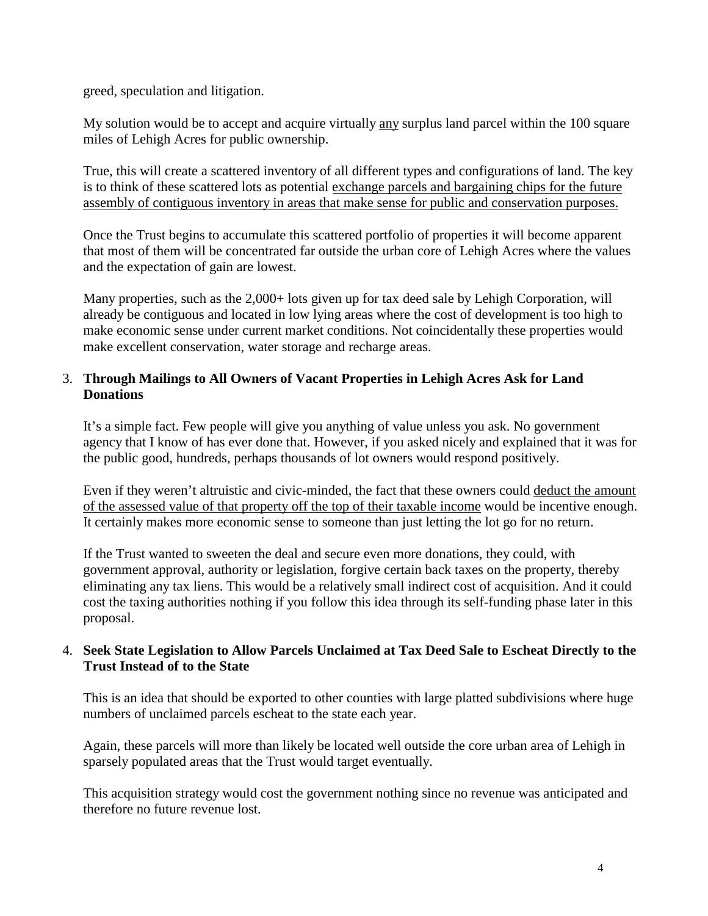greed, speculation and litigation.

My solution would be to accept and acquire virtually any surplus land parcel within the 100 square miles of Lehigh Acres for public ownership.

True, this will create a scattered inventory of all different types and configurations of land. The key is to think of these scattered lots as potential exchange parcels and bargaining chips for the future assembly of contiguous inventory in areas that make sense for public and conservation purposes.

Once the Trust begins to accumulate this scattered portfolio of properties it will become apparent that most of them will be concentrated far outside the urban core of Lehigh Acres where the values and the expectation of gain are lowest.

Many properties, such as the 2,000+ lots given up for tax deed sale by Lehigh Corporation, will already be contiguous and located in low lying areas where the cost of development is too high to make economic sense under current market conditions. Not coincidentally these properties would make excellent conservation, water storage and recharge areas.

#### 3. **Through Mailings to All Owners of Vacant Properties in Lehigh Acres Ask for Land Donations**

It's a simple fact. Few people will give you anything of value unless you ask. No government agency that I know of has ever done that. However, if you asked nicely and explained that it was for the public good, hundreds, perhaps thousands of lot owners would respond positively.

Even if they weren't altruistic and civic-minded, the fact that these owners could deduct the amount of the assessed value of that property off the top of their taxable income would be incentive enough. It certainly makes more economic sense to someone than just letting the lot go for no return.

If the Trust wanted to sweeten the deal and secure even more donations, they could, with government approval, authority or legislation, forgive certain back taxes on the property, thereby eliminating any tax liens. This would be a relatively small indirect cost of acquisition. And it could cost the taxing authorities nothing if you follow this idea through its self-funding phase later in this proposal.

## 4. **Seek State Legislation to Allow Parcels Unclaimed at Tax Deed Sale to Escheat Directly to the Trust Instead of to the State**

This is an idea that should be exported to other counties with large platted subdivisions where huge numbers of unclaimed parcels escheat to the state each year.

Again, these parcels will more than likely be located well outside the core urban area of Lehigh in sparsely populated areas that the Trust would target eventually.

This acquisition strategy would cost the government nothing since no revenue was anticipated and therefore no future revenue lost.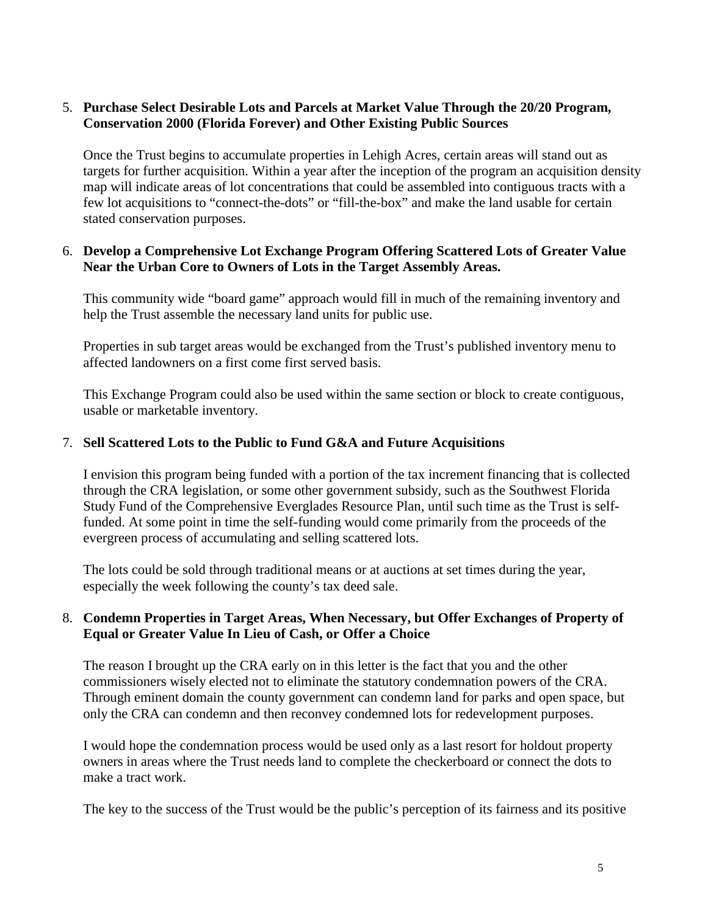## 5. **Purchase Select Desirable Lots and Parcels at Market Value Through the 20/20 Program, Conservation 2000 (Florida Forever) and Other Existing Public Sources**

Once the Trust begins to accumulate properties in Lehigh Acres, certain areas will stand out as targets for further acquisition. Within a year after the inception of the program an acquisition density map will indicate areas of lot concentrations that could be assembled into contiguous tracts with a few lot acquisitions to "connect-the-dots" or "fill-the-box" and make the land usable for certain stated conservation purposes.

#### 6. **Develop a Comprehensive Lot Exchange Program Offering Scattered Lots of Greater Value Near the Urban Core to Owners of Lots in the Target Assembly Areas.**

This community wide "board game" approach would fill in much of the remaining inventory and help the Trust assemble the necessary land units for public use.

Properties in sub target areas would be exchanged from the Trust's published inventory menu to affected landowners on a first come first served basis.

This Exchange Program could also be used within the same section or block to create contiguous, usable or marketable inventory.

#### 7. **Sell Scattered Lots to the Public to Fund G&A and Future Acquisitions**

I envision this program being funded with a portion of the tax increment financing that is collected through the CRA legislation, or some other government subsidy, such as the Southwest Florida Study Fund of the Comprehensive Everglades Resource Plan, until such time as the Trust is selffunded. At some point in time the self-funding would come primarily from the proceeds of the evergreen process of accumulating and selling scattered lots.

The lots could be sold through traditional means or at auctions at set times during the year, especially the week following the county's tax deed sale.

#### 8. **Condemn Properties in Target Areas, When Necessary, but Offer Exchanges of Property of Equal or Greater Value In Lieu of Cash, or Offer a Choice**

The reason I brought up the CRA early on in this letter is the fact that you and the other commissioners wisely elected not to eliminate the statutory condemnation powers of the CRA. Through eminent domain the county government can condemn land for parks and open space, but only the CRA can condemn and then reconvey condemned lots for redevelopment purposes.

I would hope the condemnation process would be used only as a last resort for holdout property owners in areas where the Trust needs land to complete the checkerboard or connect the dots to make a tract work.

The key to the success of the Trust would be the public's perception of its fairness and its positive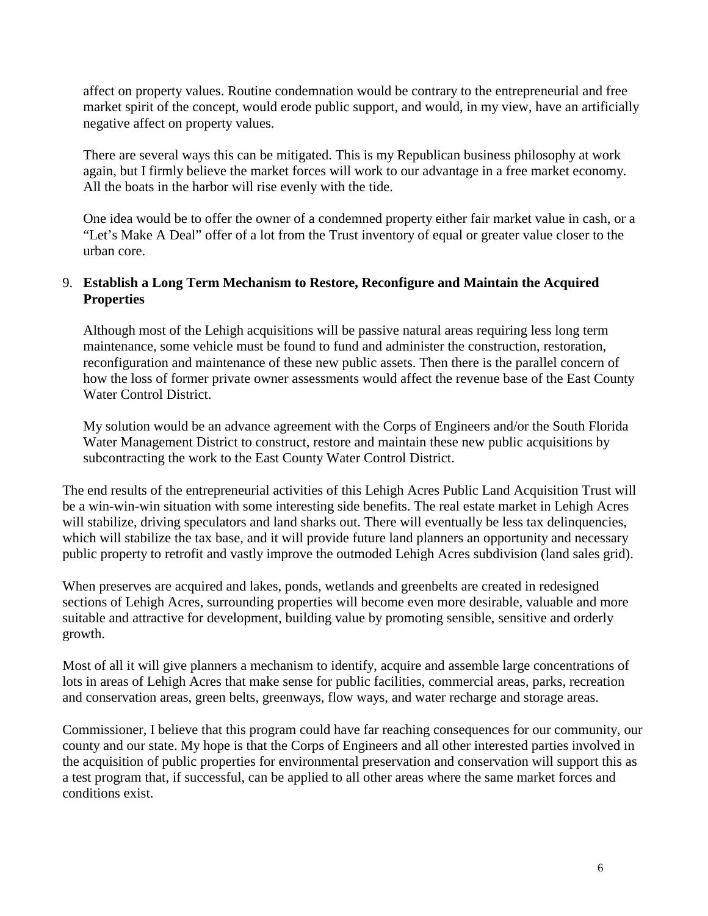affect on property values. Routine condemnation would be contrary to the entrepreneurial and free market spirit of the concept, would erode public support, and would, in my view, have an artificially negative affect on property values.

There are several ways this can be mitigated. This is my Republican business philosophy at work again, but I firmly believe the market forces will work to our advantage in a free market economy. All the boats in the harbor will rise evenly with the tide.

One idea would be to offer the owner of a condemned property either fair market value in cash, or a "Let's Make A Deal" offer of a lot from the Trust inventory of equal or greater value closer to the urban core.

## 9. **Establish a Long Term Mechanism to Restore, Reconfigure and Maintain the Acquired Properties**

Although most of the Lehigh acquisitions will be passive natural areas requiring less long term maintenance, some vehicle must be found to fund and administer the construction, restoration, reconfiguration and maintenance of these new public assets. Then there is the parallel concern of how the loss of former private owner assessments would affect the revenue base of the East County Water Control District.

My solution would be an advance agreement with the Corps of Engineers and/or the South Florida Water Management District to construct, restore and maintain these new public acquisitions by subcontracting the work to the East County Water Control District.

The end results of the entrepreneurial activities of this Lehigh Acres Public Land Acquisition Trust will be a win-win-win situation with some interesting side benefits. The real estate market in Lehigh Acres will stabilize, driving speculators and land sharks out. There will eventually be less tax delinquencies, which will stabilize the tax base, and it will provide future land planners an opportunity and necessary public property to retrofit and vastly improve the outmoded Lehigh Acres subdivision (land sales grid).

When preserves are acquired and lakes, ponds, wetlands and greenbelts are created in redesigned sections of Lehigh Acres, surrounding properties will become even more desirable, valuable and more suitable and attractive for development, building value by promoting sensible, sensitive and orderly growth.

Most of all it will give planners a mechanism to identify, acquire and assemble large concentrations of lots in areas of Lehigh Acres that make sense for public facilities, commercial areas, parks, recreation and conservation areas, green belts, greenways, flow ways, and water recharge and storage areas.

Commissioner, I believe that this program could have far reaching consequences for our community, our county and our state. My hope is that the Corps of Engineers and all other interested parties involved in the acquisition of public properties for environmental preservation and conservation will support this as a test program that, if successful, can be applied to all other areas where the same market forces and conditions exist.